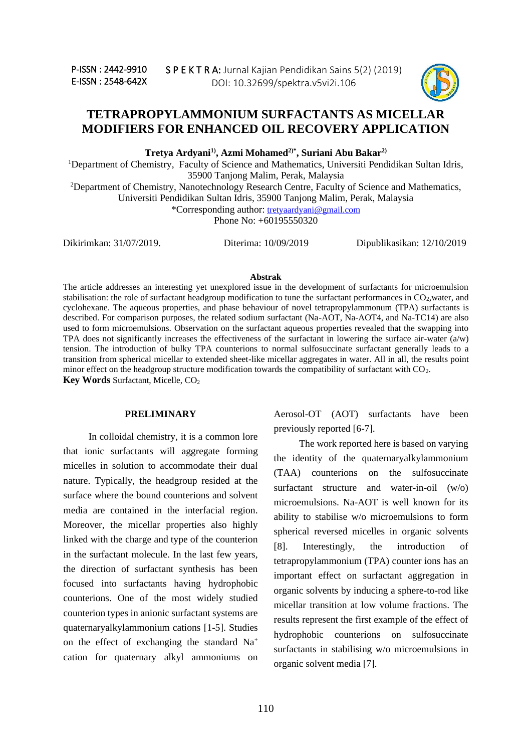

# **TETRAPROPYLAMMONIUM SURFACTANTS AS MICELLAR MODIFIERS FOR ENHANCED OIL RECOVERY APPLICATION**

**Tretya Ardyani1) , Azmi Mohamed2)\* , Suriani Abu Bakar2)**

<sup>1</sup>Department of Chemistry, Faculty of Science and Mathematics, Universiti Pendidikan Sultan Idris, 35900 Tanjong Malim, Perak, Malaysia

<sup>2</sup>Department of Chemistry, Nanotechnology Research Centre, Faculty of Science and Mathematics, Universiti Pendidikan Sultan Idris, 35900 Tanjong Malim, Perak, Malaysia

\*Corresponding author: [tretyaardyani@gmail.com](mailto:tretyaardyani@gmail.com)

Phone No: +60195550320

Dikirimkan: 31/07/2019. Diterima: 10/09/2019 Dipublikasikan: 12/10/2019

#### **Abstrak**

The article addresses an interesting yet unexplored issue in the development of surfactants for microemulsion stabilisation: the role of surfactant headgroup modification to tune the surfactant performances in CO<sub>2</sub>, water, and cyclohexane. The aqueous properties, and phase behaviour of novel tetrapropylammonum (TPA) surfactants is described. For comparison purposes, the related sodium surfactant (Na-AOT, Na-AOT4, and Na-TC14) are also used to form microemulsions. Observation on the surfactant aqueous properties revealed that the swapping into TPA does not significantly increases the effectiveness of the surfactant in lowering the surface air-water  $(a/w)$ tension. The introduction of bulky TPA counterions to normal sulfosuccinate surfactant generally leads to a transition from spherical micellar to extended sheet-like micellar aggregates in water. All in all, the results point minor effect on the headgroup structure modification towards the compatibility of surfactant with  $CO<sub>2</sub>$ . **Key Words** Surfactant, Micelle, CO<sub>2</sub>

#### **PRELIMINARY**

In colloidal chemistry, it is a common lore that ionic surfactants will aggregate forming micelles in solution to accommodate their dual nature. Typically, the headgroup resided at the surface where the bound counterions and solvent media are contained in the interfacial region. Moreover, the micellar properties also highly linked with the charge and type of the counterion in the surfactant molecule. In the last few years, the direction of surfactant synthesis has been focused into surfactants having hydrophobic counterions. One of the most widely studied counterion types in anionic surfactant systems are quaternaryalkylammonium cations [1-5]. Studies on the effect of exchanging the standard Na<sup>+</sup> cation for quaternary alkyl ammoniums on Aerosol-OT (AOT) surfactants have been previously reported [6-7].

The work reported here is based on varying the identity of the quaternaryalkylammonium (TAA) counterions on the sulfosuccinate surfactant structure and water-in-oil (w/o) microemulsions. Na-AOT is well known for its ability to stabilise w/o microemulsions to form spherical reversed micelles in organic solvents [8]. Interestingly, the introduction of tetrapropylammonium (TPA) counter ions has an important effect on surfactant aggregation in organic solvents by inducing a sphere-to-rod like micellar transition at low volume fractions. The results represent the first example of the effect of hydrophobic counterions on sulfosuccinate surfactants in stabilising w/o microemulsions in organic solvent media [7].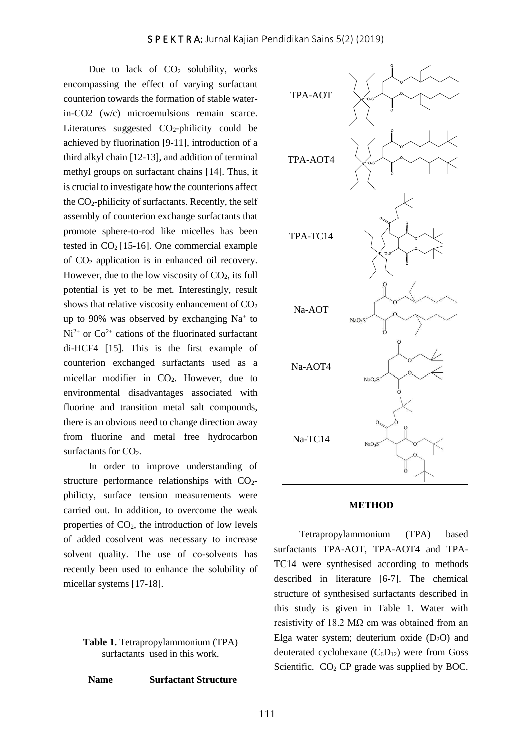Due to lack of  $CO<sub>2</sub>$  solubility, works encompassing the effect of varying surfactant counterion towards the formation of stable waterin-CO2 (w/c) microemulsions remain scarce. Literatures suggested  $CO<sub>2</sub>$ -philicity could be achieved by fluorination [9-11], introduction of a third alkyl chain [12-13], and addition of terminal methyl groups on surfactant chains [14]. Thus, it is crucial to investigate how the counterions affect the  $CO_2$ -philicity of surfactants. Recently, the self assembly of counterion exchange surfactants that promote sphere-to-rod like micelles has been tested in  $CO<sub>2</sub>$  [15-16]. One commercial example of CO<sup>2</sup> application is in enhanced oil recovery. However, due to the low viscosity of  $CO<sub>2</sub>$ , its full potential is yet to be met. Interestingly, result shows that relative viscosity enhancement of  $CO<sub>2</sub>$ up to 90% was observed by exchanging  $Na<sup>+</sup>$  to  $Ni<sup>2+</sup>$  or  $Co<sup>2+</sup>$  cations of the fluorinated surfactant di-HCF4 [15]. This is the first example of counterion exchanged surfactants used as a micellar modifier in CO2. However, due to environmental disadvantages associated with fluorine and transition metal salt compounds, there is an obvious need to change direction away from fluorine and metal free hydrocarbon surfactants for  $CO<sub>2</sub>$ .

In order to improve understanding of structure performance relationships with  $CO<sub>2</sub>$ philicty, surface tension measurements were carried out. In addition, to overcome the weak properties of  $CO<sub>2</sub>$ , the introduction of low levels of added cosolvent was necessary to increase solvent quality. The use of co-solvents has recently been used to enhance the solubility of micellar systems [17-18].

**Table 1.** Tetrapropylammonium (TPA) surfactants used in this work.

| <b>Name</b> | <b>Surfactant Structure</b> |
|-------------|-----------------------------|
|             |                             |



#### **METHOD**

Tetrapropylammonium (TPA) based surfactants TPA-AOT, TPA-AOT4 and TPA-TC14 were synthesised according to methods described in literature [6-7]. The chemical structure of synthesised surfactants described in this study is given in Table 1. Water with resistivity of 18.2 M $\Omega$  cm was obtained from an Elga water system; deuterium oxide  $(D_2O)$  and deuterated cyclohexane  $(C_6D_{12})$  were from Goss Scientific.  $CO<sub>2</sub>$  CP grade was supplied by BOC.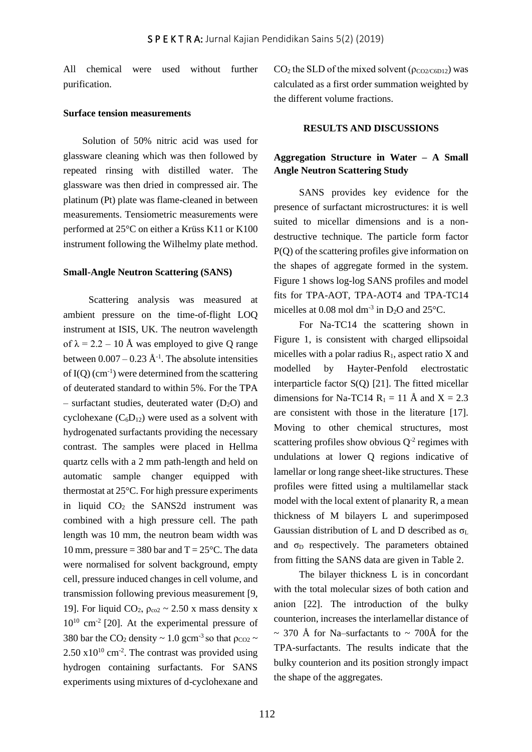All chemical were used without further purification.

# **Surface tension measurements**

Solution of 50% nitric acid was used for glassware cleaning which was then followed by repeated rinsing with distilled water. The glassware was then dried in compressed air. The platinum (Pt) plate was flame-cleaned in between measurements. Tensiometric measurements were performed at 25°C on either a Krüss K11 or K100 instrument following the Wilhelmy plate method.

#### **Small-Angle Neutron Scattering (SANS)**

Scattering analysis was measured at ambient pressure on the time-of-flight LOQ instrument at ISIS, UK. The neutron wavelength of  $\lambda = 2.2 - 10$  Å was employed to give Q range between  $0.007 - 0.23 \text{ Å}^{-1}$ . The absolute intensities of  $I(Q)$  (cm<sup>-1</sup>) were determined from the scattering of deuterated standard to within 5%. For the TPA – surfactant studies, deuterated water  $(D_2O)$  and cyclohexane  $(C_6D_{12})$  were used as a solvent with hydrogenated surfactants providing the necessary contrast. The samples were placed in Hellma quartz cells with a 2 mm path-length and held on automatic sample changer equipped with thermostat at 25°C. For high pressure experiments in liquid  $CO<sub>2</sub>$  the SANS2d instrument was combined with a high pressure cell. The path length was 10 mm, the neutron beam width was 10 mm, pressure = 380 bar and  $T = 25^{\circ}C$ . The data were normalised for solvent background, empty cell, pressure induced changes in cell volume, and transmission following previous measurement [9, 19]. For liquid  $CO_2$ ,  $\rho_{co2} \sim 2.50$  x mass density x 10<sup>10</sup> cm-2 [20]. At the experimental pressure of 380 bar the CO<sub>2</sub> density  $\sim 1.0$  gcm<sup>-3</sup> so that  $\rho_{CO2} \sim$  $2.50 \times 10^{10}$  cm<sup>-2</sup>. The contrast was provided using hydrogen containing surfactants. For SANS experiments using mixtures of d-cyclohexane and

 $CO<sub>2</sub>$  the SLD of the mixed solvent ( $\rho_{CO2/C6D12}$ ) was calculated as a first order summation weighted by the different volume fractions.

#### **RESULTS AND DISCUSSIONS**

# **Aggregation Structure in Water – A Small Angle Neutron Scattering Study**

SANS provides key evidence for the presence of surfactant microstructures: it is well suited to micellar dimensions and is a nondestructive technique. The particle form factor P(Q) of the scattering profiles give information on the shapes of aggregate formed in the system. Figure 1 shows log-log SANS profiles and model fits for TPA-AOT, TPA-AOT4 and TPA-TC14 micelles at 0.08 mol dm<sup>-3</sup> in  $D_2O$  and 25°C.

For Na-TC14 the scattering shown in Figure 1, is consistent with charged ellipsoidal micelles with a polar radius  $R_1$ , aspect ratio X and modelled by Hayter-Penfold electrostatic interparticle factor S(Q) [21]. The fitted micellar dimensions for Na-TC14 R<sub>1</sub> = 11 Å and X = 2.3 are consistent with those in the literature [17]. Moving to other chemical structures, most scattering profiles show obvious  $Q^{-2}$  regimes with undulations at lower Q regions indicative of lamellar or long range sheet-like structures. These profiles were fitted using a multilamellar stack model with the local extent of planarity R, a mean thickness of M bilayers L and superimposed Gaussian distribution of L and D described as  $\sigma_L$ and  $\sigma_D$  respectively. The parameters obtained from fitting the SANS data are given in Table 2.

The bilayer thickness L is in concordant with the total molecular sizes of both cation and anion [22]. The introduction of the bulky counterion, increases the interlamellar distance of  $\sim$  370 Å for Na–surfactants to  $\sim$  700Å for the TPA-surfactants. The results indicate that the bulky counterion and its position strongly impact the shape of the aggregates.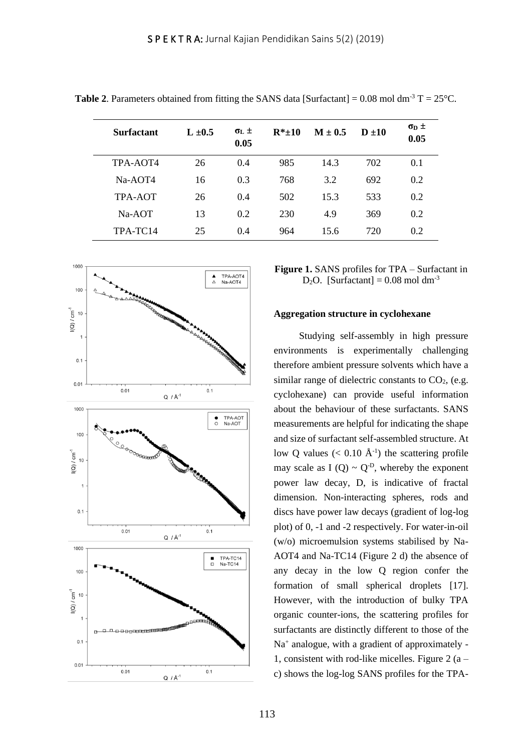| <b>Surfactant</b> | $L \pm 0.5$ | $\sigma_L \pm$<br>0.05 | $R^* + 10$ | $M \pm 0.5$ | $D + 10$ | $\sigma_{\rm D}$ $\pm$<br>0.05 |
|-------------------|-------------|------------------------|------------|-------------|----------|--------------------------------|
| TPA-AOT4          | 26          | 0.4                    | 985        | 14.3        | 702      | 0.1                            |
| Na-AOT4           | 16          | 0.3                    | 768        | 3.2         | 692      | 0.2                            |
| TPA-AOT           | 26          | 0.4                    | 502        | 15.3        | 533      | 0.2                            |
| $Na-AOT$          | 13          | 0.2                    | 230        | 4.9         | 369      | 0.2                            |
| TPA-TC14          | 25          | 0.4                    | 964        | 15.6        | 720      | 0.2                            |

**Table 2.** Parameters obtained from fitting the SANS data [Surfactant] =  $0.08$  mol dm<sup>-3</sup> T =  $25^{\circ}$ C.



**Figure 1.** SANS profiles for TPA – Surfactant in D<sub>2</sub>O. [Surfactant] =  $0.08$  mol dm<sup>-3</sup>

#### **Aggregation structure in cyclohexane**

Studying self-assembly in high pressure environments is experimentally challenging therefore ambient pressure solvents which have a similar range of dielectric constants to  $CO<sub>2</sub>$ , (e.g. cyclohexane) can provide useful information about the behaviour of these surfactants. SANS measurements are helpful for indicating the shape and size of surfactant self-assembled structure. At low Q values ( $< 0.10 \text{ Å}^{-1}$ ) the scattering profile may scale as I  $(Q) \sim Q^{-D}$ , whereby the exponent power law decay, D, is indicative of fractal dimension. Non-interacting spheres, rods and discs have power law decays (gradient of log-log plot) of 0, -1 and -2 respectively. For water-in-oil (w/o) microemulsion systems stabilised by Na-AOT4 and Na-TC14 (Figure 2 d) the absence of any decay in the low Q region confer the formation of small spherical droplets [17]. However, with the introduction of bulky TPA organic counter-ions, the scattering profiles for surfactants are distinctly different to those of the Na<sup>+</sup> analogue, with a gradient of approximately -1, consistent with rod-like micelles. Figure 2  $(a$ c) shows the log-log SANS profiles for the TPA-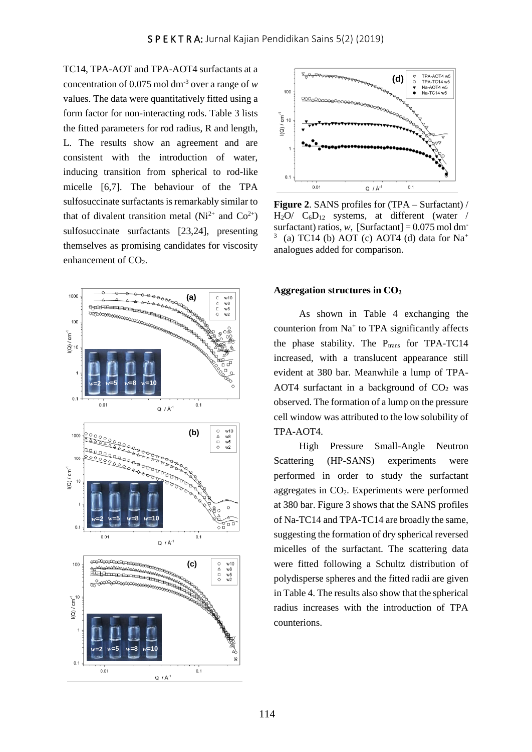TC14, TPA-AOT and TPA-AOT4 surfactants at a concentration of 0.075 mol dm-3 over a range of *w* values. The data were quantitatively fitted using a form factor for non-interacting rods. Table 3 lists the fitted parameters for rod radius, R and length, L. The results show an agreement and are consistent with the introduction of water, inducing transition from spherical to rod-like micelle [6,7]. The behaviour of the TPA sulfosuccinate surfactants is remarkably similar to that of divalent transition metal  $(Ni^{2+}$  and  $Co^{2+})$ sulfosuccinate surfactants [23,24], presenting themselves as promising candidates for viscosity enhancement of CO<sub>2</sub>.





**Figure 2**. SANS profiles for (TPA – Surfactant) /  $H_2O$   $C_6D_{12}$  systems, at different (water / surfactant) ratios, *w*,  $[\text{Surfactant}] = 0.075 \text{ mol dm}$ 3 (a) TC14 (b) AOT (c) AOT4 (d) data for  $Na<sup>+</sup>$ analogues added for comparison.

#### **Aggregation structures in CO<sup>2</sup>**

As shown in Table 4 exchanging the counterion from Na<sup>+</sup> to TPA significantly affects the phase stability. The  $P_{trans}$  for TPA-TC14 increased, with a translucent appearance still evident at 380 bar. Meanwhile a lump of TPA-AOT4 surfactant in a background of  $CO<sub>2</sub>$  was observed. The formation of a lump on the pressure cell window was attributed to the low solubility of TPA-AOT4.

High Pressure Small-Angle Neutron Scattering (HP-SANS) experiments were performed in order to study the surfactant aggregates in CO2. Experiments were performed at 380 bar. Figure 3 shows that the SANS profiles of Na-TC14 and TPA-TC14 are broadly the same, suggesting the formation of dry spherical reversed micelles of the surfactant. The scattering data were fitted following a Schultz distribution of polydisperse spheres and the fitted radii are given in Table 4. The results also show that the spherical radius increases with the introduction of TPA counterions.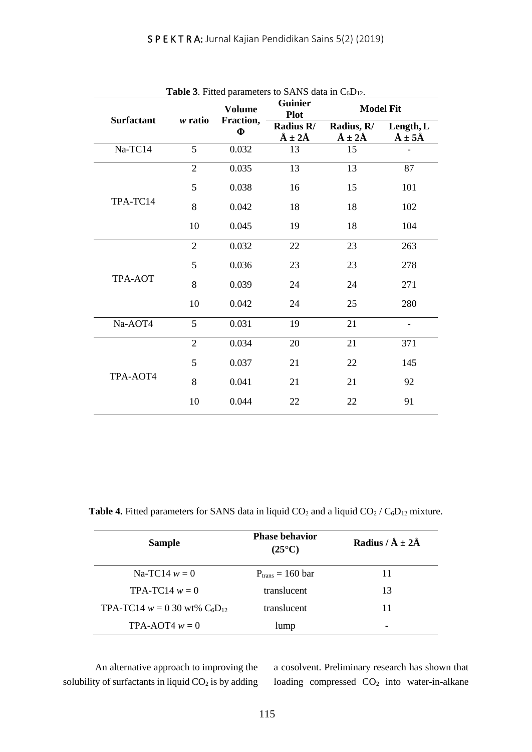| <b>Surfactant</b><br>w ratio | <b>Volume</b> | <b>Guinier</b><br><b>Plot</b> |                              | <b>Model Fit</b>                                                |  |
|------------------------------|---------------|-------------------------------|------------------------------|-----------------------------------------------------------------|--|
|                              | $\Phi$        | Radius R/<br>$\AA \pm 2\AA$   | Radius, R/<br>$\AA \pm 2\AA$ | Length, L<br>$\AA \pm 5\AA$                                     |  |
| 5                            | 0.032         | 13                            | 15                           |                                                                 |  |
| $\overline{2}$               | 0.035         | 13                            | 13                           | 87                                                              |  |
| 5                            | 0.038         | 16                            | 15                           | 101                                                             |  |
| 8                            | 0.042         | 18                            | 18                           | 102                                                             |  |
| 10                           | 0.045         | 19                            | 18                           | 104                                                             |  |
| $\overline{2}$               | 0.032         | 22                            | 23                           | 263                                                             |  |
| 5                            | 0.036         | 23                            | 23                           | 278                                                             |  |
| 8                            | 0.039         | 24                            | 24                           | 271                                                             |  |
| 10                           | 0.042         | 24                            | 25                           | 280                                                             |  |
| 5                            | 0.031         | 19                            | 21                           |                                                                 |  |
| $\overline{2}$               | 0.034         | 20                            | 21                           | 371                                                             |  |
| 5                            | 0.037         | 21                            | 22                           | 145                                                             |  |
| 8                            | 0.041         | 21                            | 21                           | 92                                                              |  |
| 10                           | 0.044         | 22                            | 22                           | 91                                                              |  |
|                              |               | Fraction,                     |                              | <b>Table 3.</b> Fitted parameters to SANS data in $C_6D_{12}$ . |  |

**Table 4.** Fitted parameters for SANS data in liquid  $CO_2$  and a liquid  $CO_2 / C_6D_{12}$  mixture.

| <b>Sample</b>                       | <b>Phase behavior</b><br>$(25^{\circ}C)$ | Radius / $\AA \pm 2\AA$ |
|-------------------------------------|------------------------------------------|-------------------------|
| $Na-TC14 w = 0$                     | $P_{trans} = 160$ bar                    | 11                      |
| $TPA-TC14 w = 0$                    | translucent                              | 13                      |
| TPA-TC14 $w = 0.30$ wt% $C_6D_{12}$ | translucent                              | 11                      |
| TPA-AOT4 $w = 0$                    | lump                                     | -                       |

An alternative approach to improving the solubility of surfactants in liquid  $CO<sub>2</sub>$  is by adding a cosolvent. Preliminary research has shown that loading compressed CO<sub>2</sub> into water-in-alkane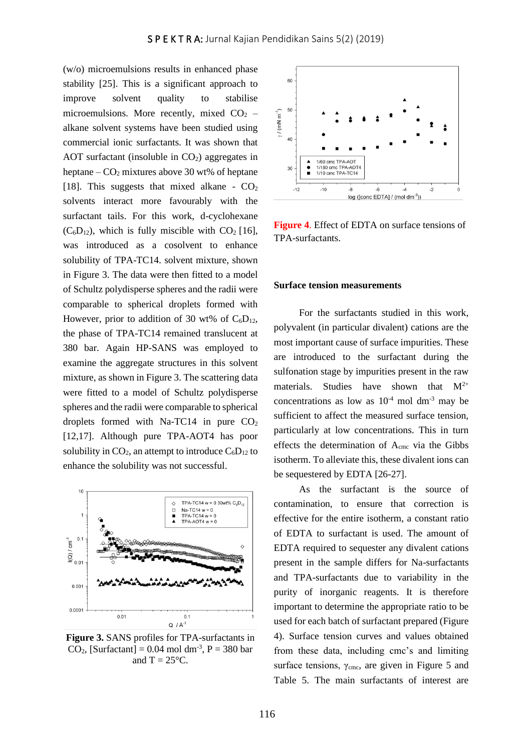(w/o) microemulsions results in enhanced phase stability [25]. This is a significant approach to improve solvent quality to stabilise microemulsions. More recently, mixed  $CO<sub>2</sub>$  – alkane solvent systems have been studied using commercial ionic surfactants. It was shown that AOT surfactant (insoluble in  $CO<sub>2</sub>$ ) aggregates in heptane –  $CO<sub>2</sub>$  mixtures above 30 wt% of heptane [18]. This suggests that mixed alkane -  $CO<sub>2</sub>$ solvents interact more favourably with the surfactant tails. For this work, d-cyclohexane  $(C_6D_{12})$ , which is fully miscible with  $CO<sub>2</sub>$  [16], was introduced as a cosolvent to enhance solubility of TPA-TC14. solvent mixture, shown in Figure 3. The data were then fitted to a model of Schultz polydisperse spheres and the radii were comparable to spherical droplets formed with However, prior to addition of 30 wt% of  $C_6D_{12}$ , the phase of TPA-TC14 remained translucent at 380 bar. Again HP-SANS was employed to examine the aggregate structures in this solvent mixture, as shown in Figure 3. The scattering data were fitted to a model of Schultz polydisperse spheres and the radii were comparable to spherical droplets formed with Na-TC14 in pure  $CO<sub>2</sub>$ [12,17]. Although pure TPA-AOT4 has poor solubility in  $CO<sub>2</sub>$ , an attempt to introduce  $C<sub>6</sub>D<sub>12</sub>$  to enhance the solubility was not successful.



**Figure 3.** SANS profiles for TPA-surfactants in  $CO<sub>2</sub>$ , [Surfactant] = 0.04 mol dm<sup>-3</sup>, P = 380 bar and  $T = 25^{\circ}C$ .



**Figure 4**. Effect of EDTA on surface tensions of TPA-surfactants.

#### **Surface tension measurements**

For the surfactants studied in this work, polyvalent (in particular divalent) cations are the most important cause of surface impurities. These are introduced to the surfactant during the sulfonation stage by impurities present in the raw materials. Studies have shown that  $M^{2+}$ concentrations as low as  $10^{-4}$  mol dm<sup>-3</sup> may be sufficient to affect the measured surface tension, particularly at low concentrations. This in turn effects the determination of Acmc via the Gibbs isotherm. To alleviate this, these divalent ions can be sequestered by EDTA [26-27].

As the surfactant is the source of contamination, to ensure that correction is effective for the entire isotherm, a constant ratio of EDTA to surfactant is used. The amount of EDTA required to sequester any divalent cations present in the sample differs for Na-surfactants and TPA-surfactants due to variability in the purity of inorganic reagents. It is therefore important to determine the appropriate ratio to be used for each batch of surfactant prepared (Figure 4). Surface tension curves and values obtained from these data, including cmc's and limiting surface tensions,  $\gamma_{\text{cmc}}$ , are given in Figure 5 and Table 5. The main surfactants of interest are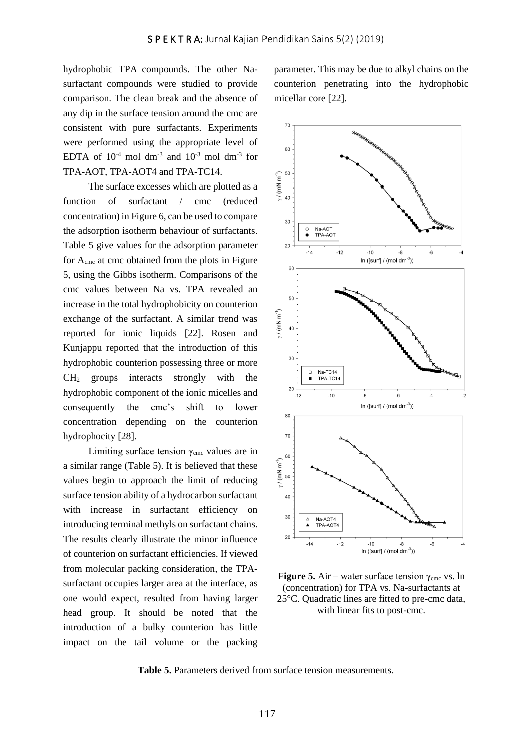hydrophobic TPA compounds. The other Nasurfactant compounds were studied to provide comparison. The clean break and the absence of any dip in the surface tension around the cmc are consistent with pure surfactants. Experiments were performed using the appropriate level of EDTA of  $10^{-4}$  mol dm<sup>-3</sup> and  $10^{-3}$  mol dm<sup>-3</sup> for TPA-AOT, TPA-AOT4 and TPA-TC14.

The surface excesses which are plotted as a function of surfactant / cmc (reduced concentration) in Figure 6, can be used to compare the adsorption isotherm behaviour of surfactants. Table 5 give values for the adsorption parameter for Acmc at cmc obtained from the plots in Figure 5, using the Gibbs isotherm. Comparisons of the cmc values between Na vs. TPA revealed an increase in the total hydrophobicity on counterion exchange of the surfactant. A similar trend was reported for ionic liquids [22]. Rosen and Kunjappu reported that the introduction of this hydrophobic counterion possessing three or more  $CH<sub>2</sub>$  groups interacts strongly with the hydrophobic component of the ionic micelles and consequently the cmc's shift to lower concentration depending on the counterion hydrophocity [28].

Limiting surface tension  $\gamma_{\text{cmc}}$  values are in a similar range (Table 5). It is believed that these values begin to approach the limit of reducing surface tension ability of a hydrocarbon surfactant with increase in surfactant efficiency on introducing terminal methyls on surfactant chains. The results clearly illustrate the minor influence of counterion on surfactant efficiencies. If viewed from molecular packing consideration, the TPAsurfactant occupies larger area at the interface, as one would expect, resulted from having larger head group. It should be noted that the introduction of a bulky counterion has little impact on the tail volume or the packing

parameter. This may be due to alkyl chains on the counterion penetrating into the hydrophobic micellar core [22].



**Figure 5.** Air – water surface tension  $\gamma_{\text{cmc}}$  vs. ln (concentration) for TPA vs. Na-surfactants at 25°C. Quadratic lines are fitted to pre-cmc data, with linear fits to post-cmc.

**Table 5.** Parameters derived from surface tension measurements.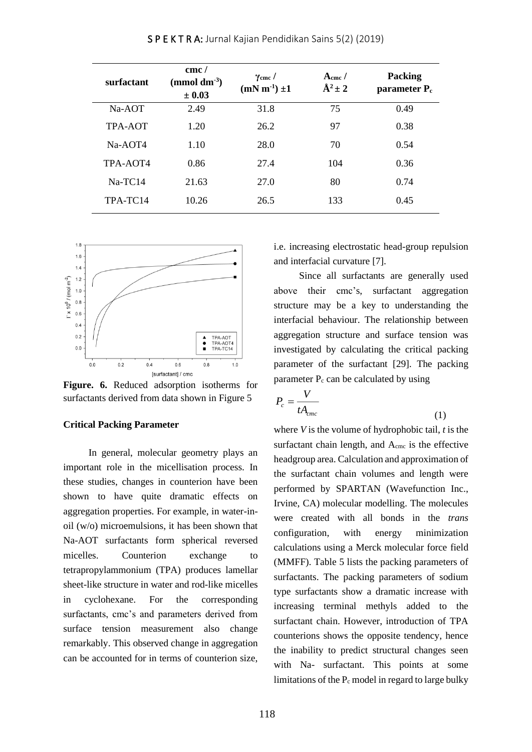| surfactant | cmc/<br>(mmol dm $3$ )<br>$\pm 0.03$ | $\gamma$ <sub>cmc</sub> /<br>$(mN m^{-1}) \pm 1$ | $A_{\rm cmc}$ /<br>$\mathring{A}^2 \pm 2$ | <b>Packing</b><br>parameter $P_c$ |
|------------|--------------------------------------|--------------------------------------------------|-------------------------------------------|-----------------------------------|
| $Na-AOT$   | 2.49                                 | 31.8                                             | 75                                        | 0.49                              |
| TPA-AOT    | 1.20                                 | 26.2                                             | 97                                        | 0.38                              |
| Na-AOT4    | 1.10                                 | 28.0                                             | 70                                        | 0.54                              |
| TPA-AOT4   | 0.86                                 | 27.4                                             | 104                                       | 0.36                              |
| $Na-TC14$  | 21.63                                | 27.0                                             | 80                                        | 0.74                              |
| TPA-TC14   | 10.26                                | 26.5                                             | 133                                       | 0.45                              |

S P E K T R A: Jurnal Kajian Pendidikan Sains 5(2) (2019)



**Figure. 6.** Reduced adsorption isotherms for surfactants derived from data shown in Figure 5

# **Critical Packing Parameter**

In general, molecular geometry plays an important role in the micellisation process. In these studies, changes in counterion have been shown to have quite dramatic effects on aggregation properties. For example, in water-inoil (w/o) microemulsions, it has been shown that Na-AOT surfactants form spherical reversed micelles. Counterion exchange to tetrapropylammonium (TPA) produces lamellar sheet-like structure in water and rod-like micelles in cyclohexane. For the corresponding surfactants, cmc's and parameters derived from surface tension measurement also change remarkably. This observed change in aggregation can be accounted for in terms of counterion size,

i.e. increasing electrostatic head-group repulsion and interfacial curvature [7].

Since all surfactants are generally used above their cmc's, surfactant aggregation structure may be a key to understanding the interfacial behaviour. The relationship between aggregation structure and surface tension was investigated by calculating the critical packing parameter of the surfactant [29]. The packing parameter  $P_c$  can be calculated by using

$$
P_c = \frac{V}{tA_{\text{cmc}}} \tag{1}
$$

where *V* is the volume of hydrophobic tail, *t* is the surfactant chain length, and Acmc is the effective headgroup area. Calculation and approximation of the surfactant chain volumes and length were performed by SPARTAN (Wavefunction Inc., Irvine, CA) molecular modelling. The molecules were created with all bonds in the *trans* configuration, with energy minimization calculations using a Merck molecular force field (MMFF). Table 5 lists the packing parameters of surfactants. The packing parameters of sodium type surfactants show a dramatic increase with increasing terminal methyls added to the surfactant chain. However, introduction of TPA counterions shows the opposite tendency, hence the inability to predict structural changes seen with Na- surfactant. This points at some limitations of the  $P_c$  model in regard to large bulky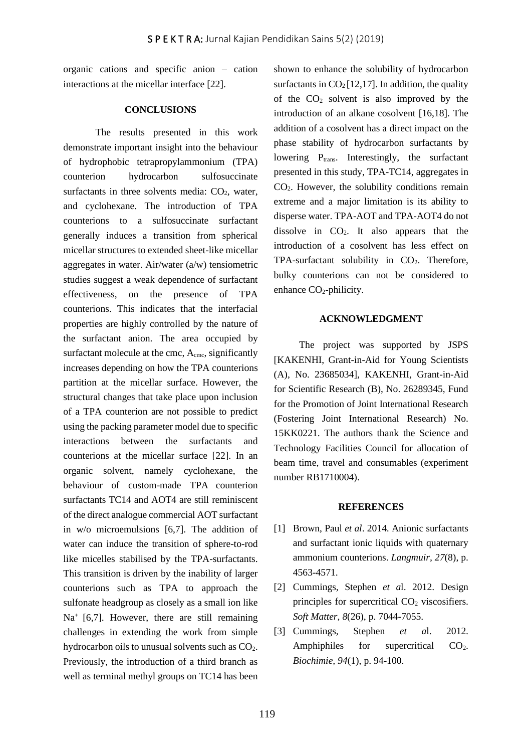organic cations and specific anion – cation interactions at the micellar interface [22].

#### **CONCLUSIONS**

The results presented in this work demonstrate important insight into the behaviour of hydrophobic tetrapropylammonium (TPA) counterion hydrocarbon sulfosuccinate surfactants in three solvents media:  $CO<sub>2</sub>$ , water, and cyclohexane. The introduction of TPA counterions to a sulfosuccinate surfactant generally induces a transition from spherical micellar structures to extended sheet-like micellar aggregates in water. Air/water (a/w) tensiometric studies suggest a weak dependence of surfactant effectiveness, on the presence of TPA counterions. This indicates that the interfacial properties are highly controlled by the nature of the surfactant anion. The area occupied by surfactant molecule at the cmc, A<sub>cmc</sub>, significantly increases depending on how the TPA counterions partition at the micellar surface. However, the structural changes that take place upon inclusion of a TPA counterion are not possible to predict using the packing parameter model due to specific interactions between the surfactants and counterions at the micellar surface [22]. In an organic solvent, namely cyclohexane, the behaviour of custom-made TPA counterion surfactants TC14 and AOT4 are still reminiscent of the direct analogue commercial AOT surfactant in w/o microemulsions [6,7]. The addition of water can induce the transition of sphere-to-rod like micelles stabilised by the TPA-surfactants. This transition is driven by the inability of larger counterions such as TPA to approach the sulfonate headgroup as closely as a small ion like Na<sup>+</sup> [6,7]. However, there are still remaining challenges in extending the work from simple hydrocarbon oils to unusual solvents such as CO2. Previously, the introduction of a third branch as well as terminal methyl groups on TC14 has been

shown to enhance the solubility of hydrocarbon surfactants in  $CO<sub>2</sub>[12,17]$ . In addition, the quality of the  $CO<sub>2</sub>$  solvent is also improved by the introduction of an alkane cosolvent [16,18]. The addition of a cosolvent has a direct impact on the phase stability of hydrocarbon surfactants by lowering  $P_{trans}$ . Interestingly, the surfactant presented in this study, TPA-TC14, aggregates in CO2. However, the solubility conditions remain extreme and a major limitation is its ability to disperse water. TPA-AOT and TPA-AOT4 do not dissolve in  $CO<sub>2</sub>$ . It also appears that the introduction of a cosolvent has less effect on  $TPA$ -surfactant solubility in  $CO<sub>2</sub>$ . Therefore, bulky counterions can not be considered to enhance CO<sub>2</sub>-philicity.

## **ACKNOWLEDGMENT**

The project was supported by JSPS [KAKENHI, Grant-in-Aid for Young Scientists (A), No. 23685034], KAKENHI, Grant-in-Aid for Scientific Research (B), No. 26289345, Fund for the Promotion of Joint International Research (Fostering Joint International Research) No. 15KK0221. The authors thank the Science and Technology Facilities Council for allocation of beam time, travel and consumables (experiment number RB1710004).

#### **REFERENCES**

- [1] Brown, Paul *et al*. 2014. Anionic surfactants and surfactant ionic liquids with quaternary ammonium counterions. *Langmuir, 27*(8), p. 4563-4571.
- [2] Cummings, Stephen *et a*l. 2012. Design principles for supercritical  $CO<sub>2</sub>$  viscosifiers. *Soft Matter, 8*(26), p. 7044-7055.
- [3] Cummings, Stephen *et a*l. 2012. Amphiphiles for supercritical CO<sub>2</sub>. *Biochimie, 94*(1), p. 94-100.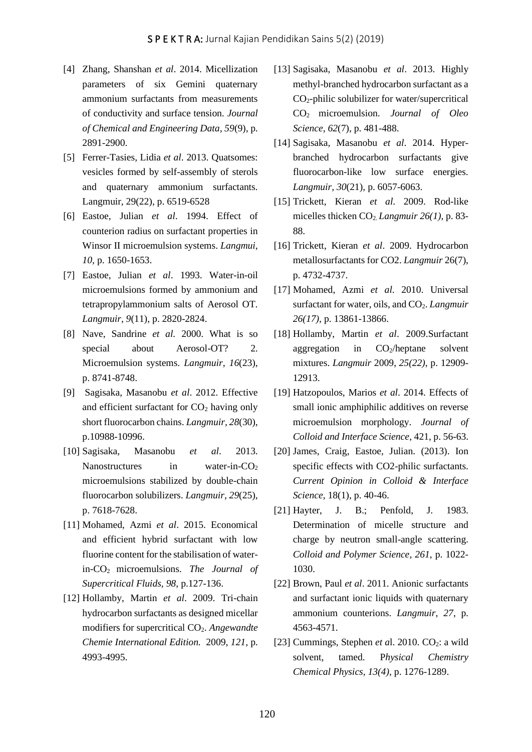- [4] Zhang, Shanshan *et al*. 2014. Micellization parameters of six Gemini quaternary ammonium surfactants from measurements of conductivity and surface tension. *Journal of Chemical and Engineering Data, 59*(9), p. 2891-2900.
- [5] Ferrer-Tasies, Lidia *et al*. 2013. Quatsomes: vesicles formed by self-assembly of sterols and quaternary ammonium surfactants. Langmuir, 29(22), p. 6519-6528
- [6] Eastoe, Julian *et al*. 1994. Effect of counterion radius on surfactant properties in Winsor II microemulsion systems. *Langmui*, *10*, p. 1650-1653.
- [7] Eastoe, Julian *et al*. 1993. Water-in-oil microemulsions formed by ammonium and tetrapropylammonium salts of Aerosol OT. *Langmuir, 9*(11), p. 2820-2824.
- [8] Nave, Sandrine *et al.* 2000. What is so special about Aerosol-OT? 2. Microemulsion systems. *Langmuir, 16*(23), p. 8741-8748.
- [9] Sagisaka, Masanobu *et al*. 2012. Effective and efficient surfactant for  $CO<sub>2</sub>$  having only short fluorocarbon chains. *Langmuir, 28*(30), p.10988-10996.
- [10] Sagisaka, Masanobu *et al*. 2013. Nanostructures in water-in- $CO<sub>2</sub>$ microemulsions stabilized by double-chain fluorocarbon solubilizers. *Langmuir, 29*(25), p. 7618-7628.
- [11] Mohamed, Azmi *et al*. 2015. Economical and efficient hybrid surfactant with low fluorine content for the stabilisation of waterin-CO2 microemulsions. *The Journal of Supercritical Fluids, 98*, p.127-136.
- [12] Hollamby, Martin *et al*. 2009. Tri-chain hydrocarbon surfactants as designed micellar modifiers for supercritical CO2. *Angewandte Chemie International Edition.* 2009, *121*, p. 4993-4995.
- [13] Sagisaka, Masanobu *et al*. 2013. Highly methyl-branched hydrocarbon surfactant as a CO2-philic solubilizer for water/supercritical CO2 microemulsion. *Journal of Oleo Science, 62*(7), p. 481-488.
- [14] Sagisaka, Masanobu *et al*. 2014. Hyperbranched hydrocarbon surfactants give fluorocarbon-like low surface energies. *Langmuir, 30*(21), p. 6057-6063.
- [15] Trickett, Kieran *et al*. 2009. Rod-like micelles thicken CO2. *Langmuir 26(1)*, p. 83- 88.
- [16] Trickett, Kieran *et al*. 2009. Hydrocarbon metallosurfactants for CO2. *Langmuir* 26(7), p. 4732-4737.
- [17] Mohamed, Azmi *et al*. 2010. Universal surfactant for water, oils, and CO<sub>2</sub>. *Langmuir 26(17)*, p. 13861-13866.
- [18] Hollamby, Martin *et al*. 2009.Surfactant aggregation in  $CO<sub>2</sub>/heptane$  solvent mixtures. *Langmuir* 2009, *25(22)*, p. 12909- 12913.
- [19] Hatzopoulos, Marios *et al*. 2014. Effects of small ionic amphiphilic additives on reverse microemulsion morphology. *Journal of Colloid and Interface Science*, 421, p. 56-63.
- [20] James, Craig, Eastoe, Julian. (2013). Ion specific effects with CO2-philic surfactants. *Current Opinion in Colloid & Interface Science*, 18(1), p. 40-46.
- [21] Hayter, J. B.; Penfold, J. 1983. Determination of micelle structure and charge by neutron small-angle scattering. *Colloid and Polymer Science, 261*, p. 1022- 1030.
- [22] Brown, Paul *et al*. 2011. Anionic surfactants and surfactant ionic liquids with quaternary ammonium counterions. *Langmuir*, *27*, p. 4563-4571.
- [23] Cummings, Stephen *et a*l. 2010.  $CO<sub>2</sub>$ : a wild solvent, tamed. P*hysical Chemistry Chemical Physics, 13(4),* p. 1276-1289.